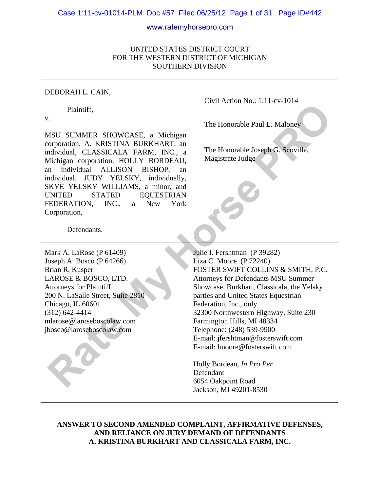#### Case 1:11-cv-01014-PLM Doc #57 Filed 06/25/12 Page 1 of 31 Page ID#442

#### www.ratemyhorsepro.com

### UNITED STATES DISTRICT COURT FOR THE WESTERN DISTRICT OF MICHIGAN SOUTHERN DIVISION

#### DEBORAH L. CAIN,

Plaintiff,

v.

MSU SUMMER SHOWCASE, a Michigan corporation, A. KRISTINA BURKHART, an individual, CLASSICALA FARM, INC., a Michigan corporation, HOLLY BORDEAU, an individual ALLISON BISHOP, an individual, JUDY YELSKY, individually, SKYE YELSKY WILLIAMS, a minor, and UNITED STATED EQUESTRIAN FEDERATION, INC., a New York Corporation,

Civil Action No.: 1:11-cv-1014

The Honorable Paul L. Maloney

The Honorable Joseph G. Scoville, Magistrate Judge

Defendants.

Mark A. LaRose (P 61409) Joseph A. Bosco (P 64266) Brian R. Kusper LAROSE & BOSCO, LTD. Attorneys for Plaintiff 200 N. LaSalle Street, Suite 2810 Chicago, IL 60601 (312) 642-4414 mlarose@laroseboscolaw.com jbosco@laroseboscolaw.com

 Julie I. Fershtman (P 39282) Liza C. Moore (P 72240) FOSTER SWIFT COLLINS & SMITH, P.C. Attorneys for Defendants MSU Summer Showcase, Burkhart, Classicala, the Yelsky parties and United States Equestrian Federation, Inc., only 32300 Northwestern Highway, Suite 230 Farmington Hills, MI 48334 Telephone: (248) 539-9900 E-mail: jfershtman@fosterswift.com E-mail: lmoore@fosterswift.com Plaintiff,<br> **Rate My Horse Propose Control** (Controlled Paul L. Maloney<br>
MSU SUMMER SHOWCASE, a Michigan<br>
orporation, A. KRISTINA BURKHART, an<br>
matividual, CLASSICALA FARM, INC., a<br>
matividual JUDY YELSKY, mixidid and HALI

Holly Bordeau, *In Pro Per* Defendant 6054 Oakpoint Road Jackson, MI 49201-8530

**ANSWER TO SECOND AMENDED COMPLAINT, AFFIRMATIVE DEFENSES, AND RELIANCE ON JURY DEMAND OF DEFENDANTS A. KRISTINA BURKHART AND CLASSICALA FARM, INC.**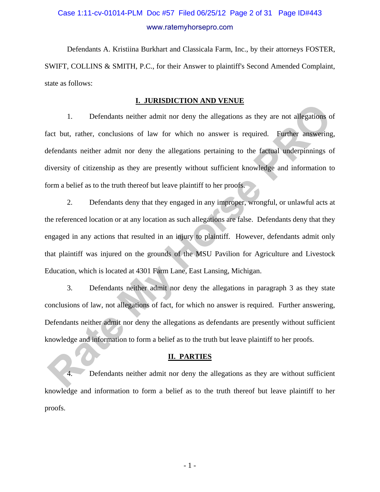# Case 1:11-cv-01014-PLM Doc #57 Filed 06/25/12 Page 2 of 31 Page ID#443 www.ratemyhorsepro.com

Defendants A. Kristiina Burkhart and Classicala Farm, Inc., by their attorneys FOSTER, SWIFT, COLLINS & SMITH, P.C., for their Answer to plaintiff's Second Amended Complaint, state as follows:

#### **I. JURISDICTION AND VENUE**

1. Defendants neither admit nor deny the allegations as they are not allegations of fact but, rather, conclusions of law for which no answer is required. Further answering, defendants neither admit nor deny the allegations pertaining to the factual underpinnings of diversity of citizenship as they are presently without sufficient knowledge and information to form a belief as to the truth thereof but leave plaintiff to her proofs.

2. Defendants deny that they engaged in any improper, wrongful, or unlawful acts at the referenced location or at any location as such allegations are false. Defendants deny that they engaged in any actions that resulted in an injury to plaintiff. However, defendants admit only that plaintiff was injured on the grounds of the MSU Pavilion for Agriculture and Livestock Education, which is located at 4301 Farm Lane, East Lansing, Michigan. **Rate of the U.S. In the U.S. In the U.S. In the U.S. In the U.S. Interest of the U.S. Incrementations** and the studies of act but, rather, conclusions of law for which no answer is required. Further answering efendants ne

3. Defendants neither admit nor deny the allegations in paragraph 3 as they state conclusions of law, not allegations of fact, for which no answer is required. Further answering, Defendants neither admit nor deny the allegations as defendants are presently without sufficient knowledge and information to form a belief as to the truth but leave plaintiff to her proofs.

#### **II. PARTIES**

4. Defendants neither admit nor deny the allegations as they are without sufficient knowledge and information to form a belief as to the truth thereof but leave plaintiff to her proofs.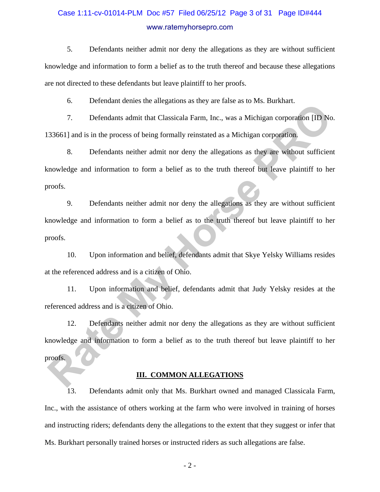# Case 1:11-cv-01014-PLM Doc #57 Filed 06/25/12 Page 3 of 31 Page ID#444 www.ratemyhorsepro.com

5. Defendants neither admit nor deny the allegations as they are without sufficient knowledge and information to form a belief as to the truth thereof and because these allegations are not directed to these defendants but leave plaintiff to her proofs.

6. Defendant denies the allegations as they are false as to Ms. Burkhart.

7. Defendants admit that Classicala Farm, Inc., was a Michigan corporation [ID No. 133661] and is in the process of being formally reinstated as a Michigan corporation.

8. Defendants neither admit nor deny the allegations as they are without sufficient knowledge and information to form a belief as to the truth thereof but leave plaintiff to her proofs.

9. Defendants neither admit nor deny the allegations as they are without sufficient knowledge and information to form a belief as to the truth thereof but leave plaintiff to her proofs. Extension velocies de anguatons as they are those at to final Extensional Constrainers of the anguatons as the procedus of the figure corporation [ID No. 33661] and is in the process of being formally reinstated as a Michi

10. Upon information and belief, defendants admit that Skye Yelsky Williams resides at the referenced address and is a citizen of Ohio.

11. Upon information and belief, defendants admit that Judy Yelsky resides at the referenced address and is a citizen of Ohio.

12. Defendants neither admit nor deny the allegations as they are without sufficient knowledge and information to form a belief as to the truth thereof but leave plaintiff to her proofs.

#### **III. COMMON ALLEGATIONS**

13. Defendants admit only that Ms. Burkhart owned and managed Classicala Farm, Inc., with the assistance of others working at the farm who were involved in training of horses and instructing riders; defendants deny the allegations to the extent that they suggest or infer that Ms. Burkhart personally trained horses or instructed riders as such allegations are false.

- 2 -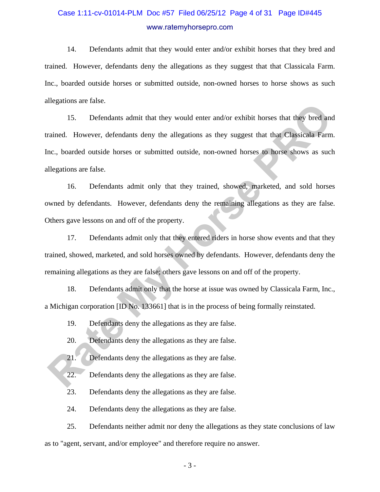# Case 1:11-cv-01014-PLM Doc #57 Filed 06/25/12 Page 4 of 31 Page ID#445 www.ratemyhorsepro.com

14. Defendants admit that they would enter and/or exhibit horses that they bred and trained. However, defendants deny the allegations as they suggest that that Classicala Farm. Inc., boarded outside horses or submitted outside, non-owned horses to horse shows as such allegations are false.

15. Defendants admit that they would enter and/or exhibit horses that they bred and trained. However, defendants deny the allegations as they suggest that that Classicala Farm. Inc., boarded outside horses or submitted outside, non-owned horses to horse shows as such allegations are false. Incomes are nast.<br> **Rate Associates** and the state and the state and the state and the state and the state and the state and the state and the state and the state and the state and the state and the state of the state and

16. Defendants admit only that they trained, showed, marketed, and sold horses owned by defendants. However, defendants deny the remaining allegations as they are false. Others gave lessons on and off of the property.

17. Defendants admit only that they entered riders in horse show events and that they trained, showed, marketed, and sold horses owned by defendants. However, defendants deny the remaining allegations as they are false; others gave lessons on and off of the property.

18. Defendants admit only that the horse at issue was owned by Classicala Farm, Inc., a Michigan corporation [ID No. 133661] that is in the process of being formally reinstated.

19. Defendants deny the allegations as they are false.

20. Defendants deny the allegations as they are false.

21. Defendants deny the allegations as they are false.

22. Defendants deny the allegations as they are false.

23. Defendants deny the allegations as they are false.

24. Defendants deny the allegations as they are false.

25. Defendants neither admit nor deny the allegations as they state conclusions of law as to "agent, servant, and/or employee" and therefore require no answer.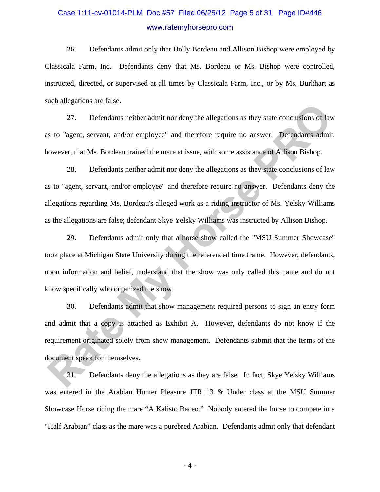# Case 1:11-cv-01014-PLM Doc #57 Filed 06/25/12 Page 5 of 31 Page ID#446 www.ratemyhorsepro.com

26. Defendants admit only that Holly Bordeau and Allison Bishop were employed by Classicala Farm, Inc. Defendants deny that Ms. Bordeau or Ms. Bishop were controlled, instructed, directed, or supervised at all times by Classicala Farm, Inc., or by Ms. Burkhart as such allegations are false.

27. Defendants neither admit nor deny the allegations as they state conclusions of law as to "agent, servant, and/or employee" and therefore require no answer. Defendants admit, however, that Ms. Bordeau trained the mare at issue, with some assistance of Allison Bishop.

28. Defendants neither admit nor deny the allegations as they state conclusions of law as to "agent, servant, and/or employee" and therefore require no answer. Defendants deny the allegations regarding Ms. Bordeau's alleged work as a riding instructor of Ms. Yelsky Williams as the allegations are false; defendant Skye Yelsky Williams was instructed by Allison Bishop. 27. Defendants neither admit nor deny the allegations as they state conclusions of law<br>12. Defendants neither admit nor deny the allegations as they state conclusions of law<br>18. Is <sup>n</sup>agent, servant, and/or employee" and t

29. Defendants admit only that a horse show called the "MSU Summer Showcase" took place at Michigan State University during the referenced time frame. However, defendants, upon information and belief, understand that the show was only called this name and do not know specifically who organized the show.

30. Defendants admit that show management required persons to sign an entry form and admit that a copy is attached as Exhibit A. However, defendants do not know if the requirement originated solely from show management. Defendants submit that the terms of the document speak for themselves.

31. Defendants deny the allegations as they are false. In fact, Skye Yelsky Williams was entered in the Arabian Hunter Pleasure JTR 13 & Under class at the MSU Summer Showcase Horse riding the mare "A Kalisto Baceo." Nobody entered the horse to compete in a "Half Arabian" class as the mare was a purebred Arabian. Defendants admit only that defendant

- 4 -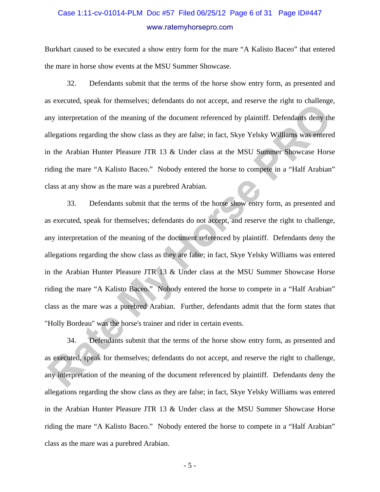# Case 1:11-cv-01014-PLM Doc #57 Filed 06/25/12 Page 6 of 31 Page ID#447 www.ratemyhorsepro.com

Burkhart caused to be executed a show entry form for the mare "A Kalisto Baceo" that entered the mare in horse show events at the MSU Summer Showcase.

32. Defendants submit that the terms of the horse show entry form, as presented and as executed, speak for themselves; defendants do not accept, and reserve the right to challenge, any interpretation of the meaning of the document referenced by plaintiff. Defendants deny the allegations regarding the show class as they are false; in fact, Skye Yelsky Williams was entered in the Arabian Hunter Pleasure JTR 13 & Under class at the MSU Summer Showcase Horse riding the mare "A Kalisto Baceo." Nobody entered the horse to compete in a "Half Arabian" class at any show as the mare was a purebred Arabian.

33. Defendants submit that the terms of the horse show entry form, as presented and as executed, speak for themselves; defendants do not accept, and reserve the right to challenge, any interpretation of the meaning of the document referenced by plaintiff. Defendants deny the allegations regarding the show class as they are false; in fact, Skye Yelsky Williams was entered in the Arabian Hunter Pleasure JTR 13 & Under class at the MSU Summer Showcase Horse riding the mare "A Kalisto Baceo." Nobody entered the horse to compete in a "Half Arabian" class as the mare was a purebred Arabian. Further, defendants admit that the form states that "Holly Bordeau" was the horse's trainer and rider in certain events. Revealed speak for distinctively electronial of interesty distinctively distinct the repair of controllating<br>any interpretation of the meaning of the document referenced by plaintiff. Defendants deny the<br>dilegations regard

34. Defendants submit that the terms of the horse show entry form, as presented and as executed, speak for themselves; defendants do not accept, and reserve the right to challenge, any interpretation of the meaning of the document referenced by plaintiff. Defendants deny the allegations regarding the show class as they are false; in fact, Skye Yelsky Williams was entered in the Arabian Hunter Pleasure JTR 13 & Under class at the MSU Summer Showcase Horse riding the mare "A Kalisto Baceo." Nobody entered the horse to compete in a "Half Arabian" class as the mare was a purebred Arabian.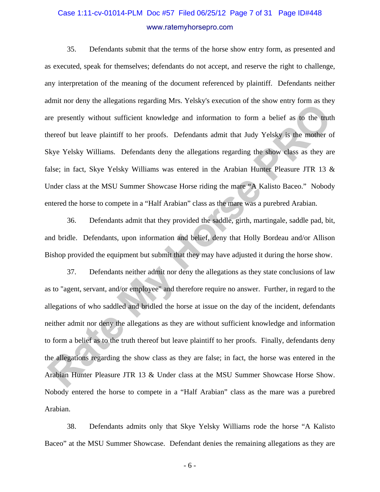# Case 1:11-cv-01014-PLM Doc #57 Filed 06/25/12 Page 7 of 31 Page ID#448 www.ratemyhorsepro.com

35. Defendants submit that the terms of the horse show entry form, as presented and as executed, speak for themselves; defendants do not accept, and reserve the right to challenge, any interpretation of the meaning of the document referenced by plaintiff. Defendants neither admit nor deny the allegations regarding Mrs. Yelsky's execution of the show entry form as they are presently without sufficient knowledge and information to form a belief as to the truth thereof but leave plaintiff to her proofs. Defendants admit that Judy Yelsky is the mother of Skye Yelsky Williams. Defendants deny the allegations regarding the show class as they are false; in fact, Skye Yelsky Williams was entered in the Arabian Hunter Pleasure JTR 13 & Under class at the MSU Summer Showcase Horse riding the mare "A Kalisto Baceo." Nobody entered the horse to compete in a "Half Arabian" class as the mare was a purebred Arabian.

36. Defendants admit that they provided the saddle, girth, martingale, saddle pad, bit, and bridle. Defendants, upon information and belief, deny that Holly Bordeau and/or Allison Bishop provided the equipment but submit that they may have adjusted it during the horse show.

37. Defendants neither admit nor deny the allegations as they state conclusions of law as to "agent, servant, and/or employee" and therefore require no answer. Further, in regard to the allegations of who saddled and bridled the horse at issue on the day of the incident, defendants neither admit nor deny the allegations as they are without sufficient knowledge and information to form a belief as to the truth thereof but leave plaintiff to her proofs. Finally, defendants deny the allegations regarding the show class as they are false; in fact, the horse was entered in the Arabian Hunter Pleasure JTR 13 & Under class at the MSU Summer Showcase Horse Show. Nobody entered the horse to compete in a "Half Arabian" class as the mare was a purebred Arabian. Ratin for early are tanguitons regularing ratio. Testay 3 selection of the allow etary fourt to tanguing represently without sufficient knowledge and information to form a belief as to the truthereof but leave plaintiff to

38. Defendants admits only that Skye Yelsky Williams rode the horse "A Kalisto Baceo" at the MSU Summer Showcase. Defendant denies the remaining allegations as they are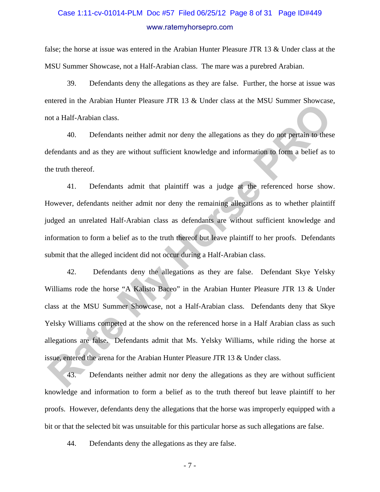# Case 1:11-cv-01014-PLM Doc #57 Filed 06/25/12 Page 8 of 31 Page ID#449 www.ratemyhorsepro.com

false; the horse at issue was entered in the Arabian Hunter Pleasure JTR 13 & Under class at the MSU Summer Showcase, not a Half-Arabian class. The mare was a purebred Arabian.

39. Defendants deny the allegations as they are false. Further, the horse at issue was entered in the Arabian Hunter Pleasure JTR 13 & Under class at the MSU Summer Showcase, not a Half-Arabian class.

40. Defendants neither admit nor deny the allegations as they do not pertain to these defendants and as they are without sufficient knowledge and information to form a belief as to the truth thereof.

41. Defendants admit that plaintiff was a judge at the referenced horse show. However, defendants neither admit nor deny the remaining allegations as to whether plaintiff judged an unrelated Half-Arabian class as defendants are without sufficient knowledge and information to form a belief as to the truth thereof but leave plaintiff to her proofs. Defendants submit that the alleged incident did not occur during a Half-Arabian class.

42. Defendants deny the allegations as they are false. Defendant Skye Yelsky Williams rode the horse "A Kalisto Baceo" in the Arabian Hunter Pleasure JTR 13 & Under class at the MSU Summer Showcase, not a Half-Arabian class. Defendants deny that Skye Yelsky Williams competed at the show on the referenced horse in a Half Arabian class as such allegations are false. Defendants admit that Ms. Yelsky Williams, while riding the horse at issue, entered the arena for the Arabian Hunter Pleasure JTR 13 & Under class. Exterior in the Fational Houter Fractator 3 FM F3 C clubes class to the False Columner Showcase<br>
AD. Defendants neither admit nor deny the allegations as they do not pertain to these<br>
Efendants and as they are without suff

43. Defendants neither admit nor deny the allegations as they are without sufficient knowledge and information to form a belief as to the truth thereof but leave plaintiff to her proofs. However, defendants deny the allegations that the horse was improperly equipped with a bit or that the selected bit was unsuitable for this particular horse as such allegations are false.

44. Defendants deny the allegations as they are false.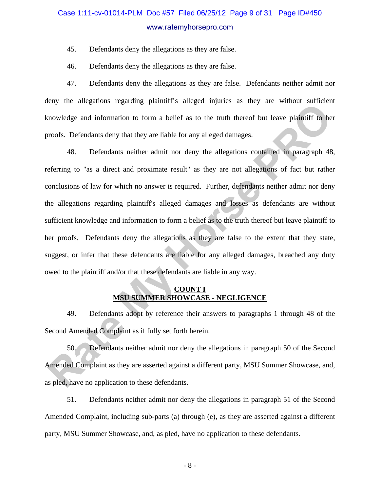# Case 1:11-cv-01014-PLM Doc #57 Filed 06/25/12 Page 9 of 31 Page ID#450 www.ratemyhorsepro.com

45. Defendants deny the allegations as they are false.

46. Defendants deny the allegations as they are false.

47. Defendants deny the allegations as they are false. Defendants neither admit nor deny the allegations regarding plaintiff's alleged injuries as they are without sufficient knowledge and information to form a belief as to the truth thereof but leave plaintiff to her proofs. Defendants deny that they are liable for any alleged damages.

48. Defendants neither admit nor deny the allegations contained in paragraph 48, referring to "as a direct and proximate result" as they are not allegations of fact but rather conclusions of law for which no answer is required. Further, defendants neither admit nor deny the allegations regarding plaintiff's alleged damages and losses as defendants are without sufficient knowledge and information to form a belief as to the truth thereof but leave plaintiff to her proofs. Defendants deny the allegations as they are false to the extent that they state, suggest, or infer that these defendants are liable for any alleged damages, breached any duty owed to the plaintiff and/or that these defendants are liable in any way. **Rate Assumption** and information to form a belief as to the truth thereof but leave plaintiff to he<br> **Rate My Horse Properties** and they are liable for any alleged damages.<br>
48. Defendants neither admit nor deny the alleg

### **COUNT I MSU SUMMER SHOWCASE - NEGLIGENCE**

49. Defendants adopt by reference their answers to paragraphs 1 through 48 of the Second Amended Complaint as if fully set forth herein.

50. Defendants neither admit nor deny the allegations in paragraph 50 of the Second Amended Complaint as they are asserted against a different party, MSU Summer Showcase, and, as pled, have no application to these defendants.

51. Defendants neither admit nor deny the allegations in paragraph 51 of the Second Amended Complaint, including sub-parts (a) through (e), as they are asserted against a different party, MSU Summer Showcase, and, as pled, have no application to these defendants.

- 8 -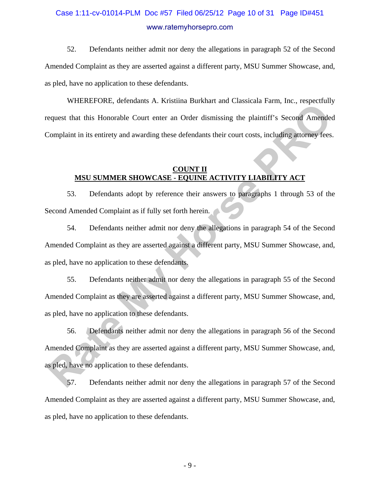# Case 1:11-cv-01014-PLM Doc #57 Filed 06/25/12 Page 10 of 31 Page ID#451 www.ratemyhorsepro.com

52. Defendants neither admit nor deny the allegations in paragraph 52 of the Second Amended Complaint as they are asserted against a different party, MSU Summer Showcase, and, as pled, have no application to these defendants.

WHEREFORE, defendants A. Kristiina Burkhart and Classicala Farm, Inc., respectfully request that this Honorable Court enter an Order dismissing the plaintiff's Second Amended Complaint in its entirety and awarding these defendants their court costs, including attorney fees.

### **COUNT II MSU SUMMER SHOWCASE - EQUINE ACTIVITY LIABILITY ACT**

53. Defendants adopt by reference their answers to paragraphs 1 through 53 of the Second Amended Complaint as if fully set forth herein.

54. Defendants neither admit nor deny the allegations in paragraph 54 of the Second Amended Complaint as they are asserted against a different party, MSU Summer Showcase, and, as pled, have no application to these defendants.

55. Defendants neither admit nor deny the allegations in paragraph 55 of the Second Amended Complaint as they are asserted against a different party, MSU Summer Showcase, and, as pled, have no application to these defendants.

56. Defendants neither admit nor deny the allegations in paragraph 56 of the Second Amended Complaint as they are asserted against a different party, MSU Summer Showcase, and, as pled, have no application to these defendants. **Rate Constrainers** 71: National Darkane and Causatean Funn, new, respectively, approach that this Honorable Court enter an Order dismissing the plaintiff's Second Amended<br>Complaint in its entirety and awarding these defen

57. Defendants neither admit nor deny the allegations in paragraph 57 of the Second Amended Complaint as they are asserted against a different party, MSU Summer Showcase, and, as pled, have no application to these defendants.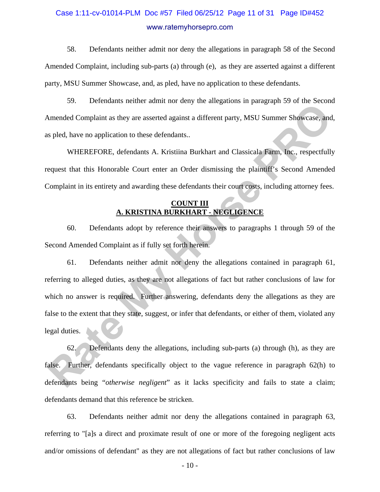# Case 1:11-cv-01014-PLM Doc #57 Filed 06/25/12 Page 11 of 31 Page ID#452 www.ratemyhorsepro.com

58. Defendants neither admit nor deny the allegations in paragraph 58 of the Second Amended Complaint, including sub-parts (a) through (e), as they are asserted against a different party, MSU Summer Showcase, and, as pled, have no application to these defendants.

59. Defendants neither admit nor deny the allegations in paragraph 59 of the Second Amended Complaint as they are asserted against a different party, MSU Summer Showcase, and, as pled, have no application to these defendants..

WHEREFORE, defendants A. Kristiina Burkhart and Classicala Farm, Inc., respectfully request that this Honorable Court enter an Order dismissing the plaintiff's Second Amended Complaint in its entirety and awarding these defendants their court costs, including attorney fees.

### **COUNT III A. KRISTINA BURKHART - NEGLIGENCE**

60. Defendants adopt by reference their answers to paragraphs 1 through 59 of the Second Amended Complaint as if fully set forth herein.

61. Defendants neither admit nor deny the allegations contained in paragraph 61, referring to alleged duties, as they are not allegations of fact but rather conclusions of law for which no answer is required. Further answering, defendants deny the allegations as they are false to the extent that they state, suggest, or infer that defendants, or either of them, violated any legal duties. **Rate Complaint as they are asserted against a different party, MSU Summer Showcase, and<br>spled, have no application to these defendants..**<br>WHEREFORE, defendants A. Kristiina Burkhart and Classicala Farm, Inc., respectfully

62. Defendants deny the allegations, including sub-parts (a) through (h), as they are false. Further, defendants specifically object to the vague reference in paragraph 62(h) to defendants being "*otherwise negligent*" as it lacks specificity and fails to state a claim; defendants demand that this reference be stricken.

63. Defendants neither admit nor deny the allegations contained in paragraph 63, referring to "[a]s a direct and proximate result of one or more of the foregoing negligent acts and/or omissions of defendant" as they are not allegations of fact but rather conclusions of law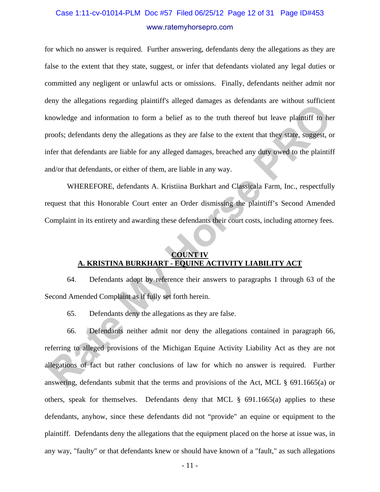# Case 1:11-cv-01014-PLM Doc #57 Filed 06/25/12 Page 12 of 31 Page ID#453 www.ratemyhorsepro.com

for which no answer is required. Further answering, defendants deny the allegations as they are false to the extent that they state, suggest, or infer that defendants violated any legal duties or committed any negligent or unlawful acts or omissions. Finally, defendants neither admit nor deny the allegations regarding plaintiff's alleged damages as defendants are without sufficient knowledge and information to form a belief as to the truth thereof but leave plaintiff to her proofs; defendants deny the allegations as they are false to the extent that they state, suggest, or infer that defendants are liable for any alleged damages, breached any duty owed to the plaintiff and/or that defendants, or either of them, are liable in any way. raty are unegations regarding plumints analysed womings as obtendants are rational starterial<br>transformation to form a belief as to the truth thereof but leave plaintiff to he<br>proofs; defendants are liable for any alleged

WHEREFORE, defendants A. Kristiina Burkhart and Classicala Farm, Inc., respectfully request that this Honorable Court enter an Order dismissing the plaintiff's Second Amended Complaint in its entirety and awarding these defendants their court costs, including attorney fees.

### **COUNT IV A. KRISTINA BURKHART - EQUINE ACTIVITY LIABILITY ACT**

64. Defendants adopt by reference their answers to paragraphs 1 through 63 of the Second Amended Complaint as if fully set forth herein.

65. Defendants deny the allegations as they are false.

66. Defendants neither admit nor deny the allegations contained in paragraph 66, referring to alleged provisions of the Michigan Equine Activity Liability Act as they are not allegations of fact but rather conclusions of law for which no answer is required. Further answering, defendants submit that the terms and provisions of the Act, MCL § 691.1665(a) or others, speak for themselves. Defendants deny that MCL § 691.1665(a) applies to these defendants, anyhow, since these defendants did not "provide" an equine or equipment to the plaintiff. Defendants deny the allegations that the equipment placed on the horse at issue was, in any way, "faulty" or that defendants knew or should have known of a "fault," as such allegations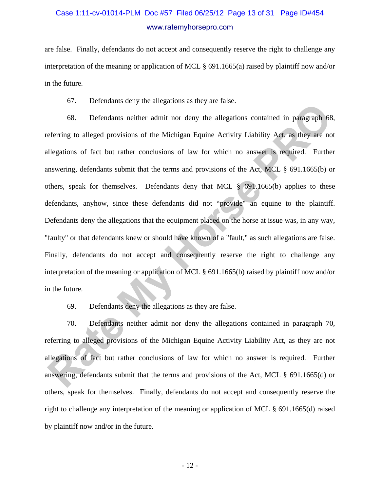# Case 1:11-cv-01014-PLM Doc #57 Filed 06/25/12 Page 13 of 31 Page ID#454 www.ratemyhorsepro.com

are false. Finally, defendants do not accept and consequently reserve the right to challenge any interpretation of the meaning or application of MCL § 691.1665(a) raised by plaintiff now and/or in the future.

67. Defendants deny the allegations as they are false.

68. Defendants neither admit nor deny the allegations contained in paragraph 68, referring to alleged provisions of the Michigan Equine Activity Liability Act, as they are not allegations of fact but rather conclusions of law for which no answer is required. Further answering, defendants submit that the terms and provisions of the Act, MCL § 691.1665(b) or others, speak for themselves. Defendants deny that MCL § 691.1665(b) applies to these defendants, anyhow, since these defendants did not "provide" an equine to the plaintiff. Defendants deny the allegations that the equipment placed on the horse at issue was, in any way, "faulty" or that defendants knew or should have known of a "fault," as such allegations are false. Finally, defendants do not accept and consequently reserve the right to challenge any interpretation of the meaning or application of MCL § 691.1665(b) raised by plaintiff now and/or in the future. or. Locustania ocuy no ame<sub>gation</sub> as any are raise.<br> **Rate My Horse Properties and the Conservant Conservant Conservant Conservant Conservant Conservant Conservant<br>
Illegations of fact but rather conclusions of law for wh** 

69. Defendants deny the allegations as they are false.

70. Defendants neither admit nor deny the allegations contained in paragraph 70, referring to alleged provisions of the Michigan Equine Activity Liability Act, as they are not allegations of fact but rather conclusions of law for which no answer is required. Further answering, defendants submit that the terms and provisions of the Act, MCL § 691.1665(d) or others, speak for themselves. Finally, defendants do not accept and consequently reserve the right to challenge any interpretation of the meaning or application of MCL § 691.1665(d) raised by plaintiff now and/or in the future.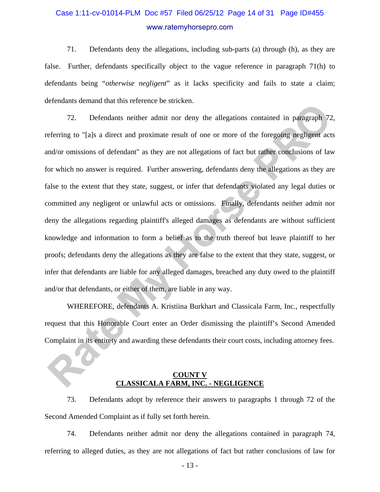# Case 1:11-cv-01014-PLM Doc #57 Filed 06/25/12 Page 14 of 31 Page ID#455 www.ratemyhorsepro.com

71. Defendants deny the allegations, including sub-parts (a) through (h), as they are false. Further, defendants specifically object to the vague reference in paragraph 71(h) to defendants being "*otherwise negligent*" as it lacks specificity and fails to state a claim; defendants demand that this reference be stricken.

72. Defendants neither admit nor deny the allegations contained in paragraph 72, referring to "[a]s a direct and proximate result of one or more of the foregoing negligent acts and/or omissions of defendant" as they are not allegations of fact but rather conclusions of law for which no answer is required. Further answering, defendants deny the allegations as they are false to the extent that they state, suggest, or infer that defendants violated any legal duties or committed any negligent or unlawful acts or omissions. Finally, defendants neither admit nor deny the allegations regarding plaintiff's alleged damages as defendants are without sufficient knowledge and information to form a belief as to the truth thereof but leave plaintiff to her proofs; defendants deny the allegations as they are false to the extent that they state, suggest, or infer that defendants are liable for any alleged damages, breached any duty owed to the plaintiff and/or that defendants, or either of them, are liable in any way. 72. Defendants neither admit in or denotes the subset of extractional in paragraph 72<br>elerring to "[a]s a direct and proximate result of one or more of the foregoing negligent act<br>elerring to "[a]s a direct and proximate r

WHEREFORE, defendants A. Kristiina Burkhart and Classicala Farm, Inc., respectfully request that this Honorable Court enter an Order dismissing the plaintiff's Second Amended Complaint in its entirety and awarding these defendants their court costs, including attorney fees.

### **COUNT V CLASSICALA FARM, INC. - NEGLIGENCE**

73. Defendants adopt by reference their answers to paragraphs 1 through 72 of the Second Amended Complaint as if fully set forth herein.

74. Defendants neither admit nor deny the allegations contained in paragraph 74, referring to alleged duties, as they are not allegations of fact but rather conclusions of law for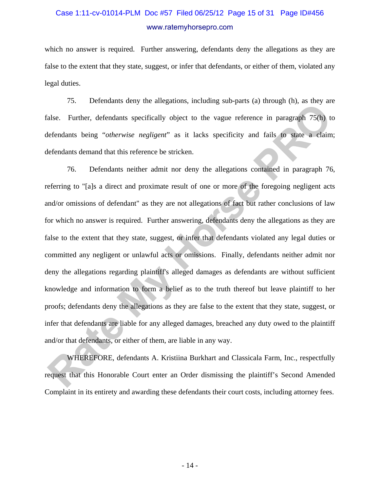# Case 1:11-cv-01014-PLM Doc #57 Filed 06/25/12 Page 15 of 31 Page ID#456 www.ratemyhorsepro.com

which no answer is required. Further answering, defendants deny the allegations as they are false to the extent that they state, suggest, or infer that defendants, or either of them, violated any legal duties.

75. Defendants deny the allegations, including sub-parts (a) through (h), as they are false. Further, defendants specifically object to the vague reference in paragraph 75(h) to defendants being "*otherwise negligent*" as it lacks specificity and fails to state a claim; defendants demand that this reference be stricken.

76. Defendants neither admit nor deny the allegations contained in paragraph 76, referring to "[a]s a direct and proximate result of one or more of the foregoing negligent acts and/or omissions of defendant" as they are not allegations of fact but rather conclusions of law for which no answer is required. Further answering, defendants deny the allegations as they are false to the extent that they state, suggest, or infer that defendants violated any legal duties or committed any negligent or unlawful acts or omissions. Finally, defendants neither admit nor deny the allegations regarding plaintiff's alleged damages as defendants are without sufficient knowledge and information to form a belief as to the truth thereof but leave plaintiff to her proofs; defendants deny the allegations as they are false to the extent that they state, suggest, or infer that defendants are liable for any alleged damages, breached any duty owed to the plaintiff and/or that defendants, or either of them, are liable in any way. 1.5. Detendants ovary are anagemons, increasing suo pais (a) anosga (a), as nosy at<br>alse. Further, defendants specifically object to the vague reference in paragraph 75(b) to<br>felendants being "*otherwise negligent*" as it

WHEREFORE, defendants A. Kristiina Burkhart and Classicala Farm, Inc., respectfully request that this Honorable Court enter an Order dismissing the plaintiff's Second Amended Complaint in its entirety and awarding these defendants their court costs, including attorney fees.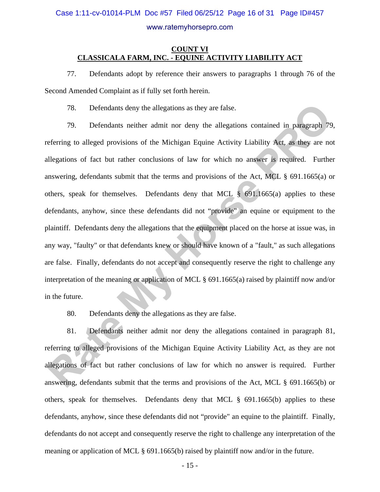### Case 1:11-cv-01014-PLM Doc #57 Filed 06/25/12 Page 16 of 31 Page ID#457

#### www.ratemyhorsepro.com

### **COUNT VI CLASSICALA FARM, INC. - EQUINE ACTIVITY LIABILITY ACT**

77. Defendants adopt by reference their answers to paragraphs 1 through 76 of the Second Amended Complaint as if fully set forth herein.

78. Defendants deny the allegations as they are false.

79. Defendants neither admit nor deny the allegations contained in paragraph 79, referring to alleged provisions of the Michigan Equine Activity Liability Act, as they are not allegations of fact but rather conclusions of law for which no answer is required. Further answering, defendants submit that the terms and provisions of the Act, MCL § 691.1665(a) or others, speak for themselves. Defendants deny that MCL § 691.1665(a) applies to these defendants, anyhow, since these defendants did not "provide" an equine or equipment to the plaintiff. Defendants deny the allegations that the equipment placed on the horse at issue was, in any way, "faulty" or that defendants knew or should have known of a "fault," as such allegations are false. Finally, defendants do not accept and consequently reserve the right to challenge any interpretation of the meaning or application of MCL § 691.1665(a) raised by plaintiff now and/or in the future. 78. Defendants deny the allegations as they are false.<br>
79. Defendants neither admit nor deny the allegations contained in paragraph 79<br>
eferring to alleged provisions of the Michigan Equine Activity Liability Act, as they

80. Defendants deny the allegations as they are false.

81. Defendants neither admit nor deny the allegations contained in paragraph 81, referring to alleged provisions of the Michigan Equine Activity Liability Act, as they are not allegations of fact but rather conclusions of law for which no answer is required. Further answering, defendants submit that the terms and provisions of the Act, MCL § 691.1665(b) or others, speak for themselves. Defendants deny that MCL § 691.1665(b) applies to these defendants, anyhow, since these defendants did not "provide" an equine to the plaintiff. Finally, defendants do not accept and consequently reserve the right to challenge any interpretation of the meaning or application of MCL § 691.1665(b) raised by plaintiff now and/or in the future.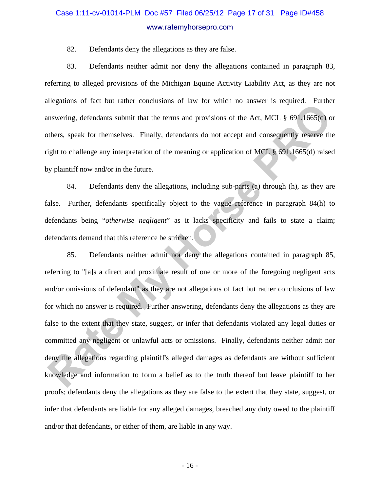# Case 1:11-cv-01014-PLM Doc #57 Filed 06/25/12 Page 17 of 31 Page ID#458 www.ratemyhorsepro.com

82. Defendants deny the allegations as they are false.

83. Defendants neither admit nor deny the allegations contained in paragraph 83, referring to alleged provisions of the Michigan Equine Activity Liability Act, as they are not allegations of fact but rather conclusions of law for which no answer is required. Further answering, defendants submit that the terms and provisions of the Act, MCL § 691.1665(d) or others, speak for themselves. Finally, defendants do not accept and consequently reserve the right to challenge any interpretation of the meaning or application of MCL § 691.1665(d) raised by plaintiff now and/or in the future.

84. Defendants deny the allegations, including sub-parts (a) through (h), as they are false. Further, defendants specifically object to the vague reference in paragraph 84(h) to defendants being "*otherwise negligent*" as it lacks specificity and fails to state a claim; defendants demand that this reference be stricken.

85. Defendants neither admit nor deny the allegations contained in paragraph 85, referring to "[a]s a direct and proximate result of one or more of the foregoing negligent acts and/or omissions of defendant" as they are not allegations of fact but rather conclusions of law for which no answer is required. Further answering, defendants deny the allegations as they are false to the extent that they state, suggest, or infer that defendants violated any legal duties or committed any negligent or unlawful acts or omissions. Finally, defendants neither admit nor deny the allegations regarding plaintiff's alleged damages as defendants are without sufficient knowledge and information to form a belief as to the truth thereof but leave plaintiff to her proofs; defendants deny the allegations as they are false to the extent that they state, suggest, or infer that defendants are liable for any alleged damages, breached any duty owed to the plaintiff and/or that defendants, or either of them, are liable in any way. **Example 5** and the contraints consisted by the set with the terms and provisions of the Act, MCI. § 691.1665(d) on the set when the terms and provisions of the Act, MCI. § 691.1665(d) on the set allows a speak for themsel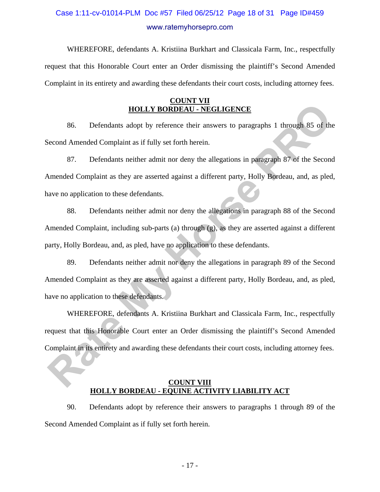# Case 1:11-cv-01014-PLM Doc #57 Filed 06/25/12 Page 18 of 31 Page ID#459 www.ratemyhorsepro.com

WHEREFORE, defendants A. Kristiina Burkhart and Classicala Farm, Inc., respectfully request that this Honorable Court enter an Order dismissing the plaintiff's Second Amended Complaint in its entirety and awarding these defendants their court costs, including attorney fees.

### **COUNT VII HOLLY BORDEAU - NEGLIGENCE**

86. Defendants adopt by reference their answers to paragraphs 1 through 85 of the Second Amended Complaint as if fully set forth herein.

87. Defendants neither admit nor deny the allegations in paragraph 87 of the Second Amended Complaint as they are asserted against a different party, Holly Bordeau, and, as pled, have no application to these defendants.

88. Defendants neither admit nor deny the allegations in paragraph 88 of the Second Amended Complaint, including sub-parts (a) through (g), as they are asserted against a different party, Holly Bordeau, and, as pled, have no application to these defendants. **Rate My Horse PRO**

89. Defendants neither admit nor deny the allegations in paragraph 89 of the Second Amended Complaint as they are asserted against a different party, Holly Bordeau, and, as pled, have no application to these defendants.

WHEREFORE, defendants A. Kristiina Burkhart and Classicala Farm, Inc., respectfully request that this Honorable Court enter an Order dismissing the plaintiff's Second Amended Complaint in its entirety and awarding these defendants their court costs, including attorney fees.

### **COUNT VIII HOLLY BORDEAU - EQUINE ACTIVITY LIABILITY ACT**

90. Defendants adopt by reference their answers to paragraphs 1 through 89 of the Second Amended Complaint as if fully set forth herein.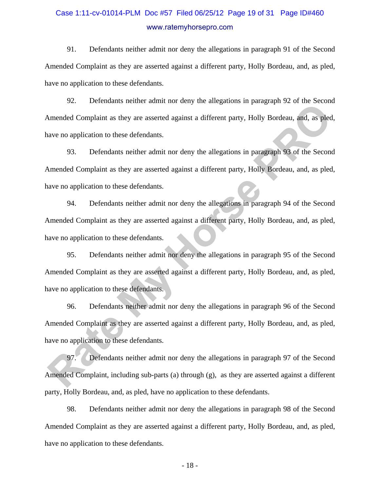# Case 1:11-cv-01014-PLM Doc #57 Filed 06/25/12 Page 19 of 31 Page ID#460 www.ratemyhorsepro.com

91. Defendants neither admit nor deny the allegations in paragraph 91 of the Second Amended Complaint as they are asserted against a different party, Holly Bordeau, and, as pled, have no application to these defendants.

92. Defendants neither admit nor deny the allegations in paragraph 92 of the Second Amended Complaint as they are asserted against a different party, Holly Bordeau, and, as pled, have no application to these defendants.

93. Defendants neither admit nor deny the allegations in paragraph 93 of the Second Amended Complaint as they are asserted against a different party, Holly Bordeau, and, as pled, have no application to these defendants.

94. Defendants neither admit nor deny the allegations in paragraph 94 of the Second Amended Complaint as they are asserted against a different party, Holly Bordeau, and, as pled, have no application to these defendants. Figure 2.2. Detendinal nexter domin not overy the direguitors in paragraph 92 of the Second<br>
Rameded Complaint as they are asserted against a different party, Holly Bordeau, and, as pled<br>
are no application to these defend

95. Defendants neither admit nor deny the allegations in paragraph 95 of the Second Amended Complaint as they are asserted against a different party, Holly Bordeau, and, as pled, have no application to these defendants.

96. Defendants neither admit nor deny the allegations in paragraph 96 of the Second Amended Complaint as they are asserted against a different party, Holly Bordeau, and, as pled, have no application to these defendants.

97. Defendants neither admit nor deny the allegations in paragraph 97 of the Second Amended Complaint, including sub-parts (a) through  $(g)$ , as they are asserted against a different party, Holly Bordeau, and, as pled, have no application to these defendants.

98. Defendants neither admit nor deny the allegations in paragraph 98 of the Second Amended Complaint as they are asserted against a different party, Holly Bordeau, and, as pled, have no application to these defendants.

- 18 -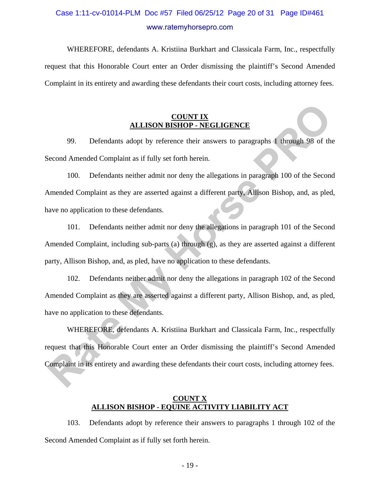# Case 1:11-cv-01014-PLM Doc #57 Filed 06/25/12 Page 20 of 31 Page ID#461 www.ratemyhorsepro.com

WHEREFORE, defendants A. Kristiina Burkhart and Classicala Farm, Inc., respectfully request that this Honorable Court enter an Order dismissing the plaintiff's Second Amended Complaint in its entirety and awarding these defendants their court costs, including attorney fees.

### **COUNT IX ALLISON BISHOP - NEGLIGENCE**

99. Defendants adopt by reference their answers to paragraphs 1 through 98 of the Second Amended Complaint as if fully set forth herein.

100. Defendants neither admit nor deny the allegations in paragraph 100 of the Second Amended Complaint as they are asserted against a different party, Allison Bishop, and, as pled, have no application to these defendants. **RATE ATT AND ATTAINT AND ATTAINMENT AND ATTAINMENT AND ATTAINMENT AND ATTAINMENT AND ATTAINMENT AS SECOND A MEMORIAL SET ATTAINS AND A SECOND AND A SECOND AND AND A SECOND AND AND A SECOND AND AND AND AND AND AND AND AND** 

101. Defendants neither admit nor deny the allegations in paragraph 101 of the Second Amended Complaint, including sub-parts (a) through (g), as they are asserted against a different party, Allison Bishop, and, as pled, have no application to these defendants.

102. Defendants neither admit nor deny the allegations in paragraph 102 of the Second Amended Complaint as they are asserted against a different party, Allison Bishop, and, as pled, have no application to these defendants.

WHEREFORE, defendants A. Kristiina Burkhart and Classicala Farm, Inc., respectfully request that this Honorable Court enter an Order dismissing the plaintiff's Second Amended Complaint in its entirety and awarding these defendants their court costs, including attorney fees.

### **COUNT X ALLISON BISHOP - EQUINE ACTIVITY LIABILITY ACT**

103. Defendants adopt by reference their answers to paragraphs 1 through 102 of the Second Amended Complaint as if fully set forth herein.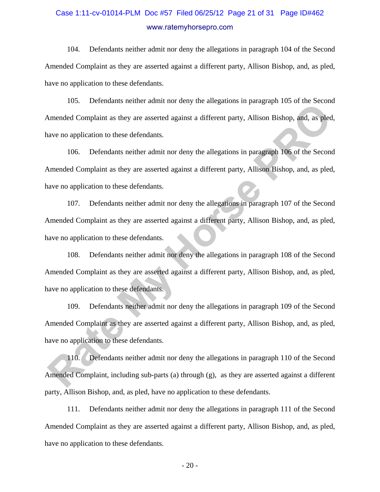# Case 1:11-cv-01014-PLM Doc #57 Filed 06/25/12 Page 21 of 31 Page ID#462 www.ratemyhorsepro.com

104. Defendants neither admit nor deny the allegations in paragraph 104 of the Second Amended Complaint as they are asserted against a different party, Allison Bishop, and, as pled, have no application to these defendants.

105. Defendants neither admit nor deny the allegations in paragraph 105 of the Second Amended Complaint as they are asserted against a different party, Allison Bishop, and, as pled, have no application to these defendants.

106. Defendants neither admit nor deny the allegations in paragraph 106 of the Second Amended Complaint as they are asserted against a different party, Allison Bishop, and, as pled, have no application to these defendants.

107. Defendants neither admit nor deny the allegations in paragraph 107 of the Second Amended Complaint as they are asserted against a different party, Allison Bishop, and, as pled, have no application to these defendants. From Constant of the Rate and The Using the distances in panguapa From Constrained Complaint as they are asserted against a different party, Allison Bishop, and, as pled<br>ave no application to these defendants.<br>
106. Defend

108. Defendants neither admit nor deny the allegations in paragraph 108 of the Second Amended Complaint as they are asserted against a different party, Allison Bishop, and, as pled, have no application to these defendants.

109. Defendants neither admit nor deny the allegations in paragraph 109 of the Second Amended Complaint as they are asserted against a different party, Allison Bishop, and, as pled, have no application to these defendants.

110. Defendants neither admit nor deny the allegations in paragraph 110 of the Second Amended Complaint, including sub-parts (a) through  $(g)$ , as they are asserted against a different party, Allison Bishop, and, as pled, have no application to these defendants.

111. Defendants neither admit nor deny the allegations in paragraph 111 of the Second Amended Complaint as they are asserted against a different party, Allison Bishop, and, as pled, have no application to these defendants.

- 20 -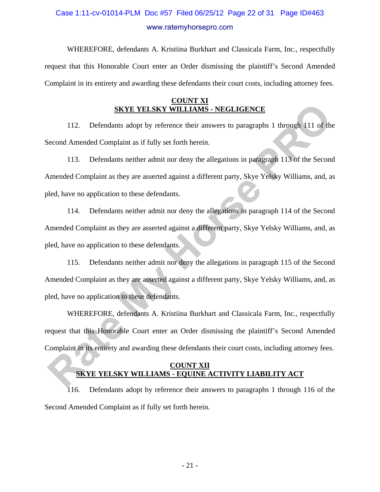# Case 1:11-cv-01014-PLM Doc #57 Filed 06/25/12 Page 22 of 31 Page ID#463 www.ratemyhorsepro.com

WHEREFORE, defendants A. Kristiina Burkhart and Classicala Farm, Inc., respectfully request that this Honorable Court enter an Order dismissing the plaintiff's Second Amended Complaint in its entirety and awarding these defendants their court costs, including attorney fees.

### **COUNT XI SKYE YELSKY WILLIAMS - NEGLIGENCE**

112. Defendants adopt by reference their answers to paragraphs 1 through 111 of the Second Amended Complaint as if fully set forth herein.

113. Defendants neither admit nor deny the allegations in paragraph 113 of the Second Amended Complaint as they are asserted against a different party, Skye Yelsky Williams, and, as pled, have no application to these defendants.

114. Defendants neither admit nor deny the allegations in paragraph 114 of the Second Amended Complaint as they are asserted against a different party, Skye Yelsky Williams, and, as pled, have no application to these defendants. **RATE YELSKY WILLIAMS - NEGLIGENCE**<br>
112. Defendants adopt by reference their answers to paragraphs 1 through 111 of the<br>
Econd Amended Complaint as if fully set forth herein.<br>
113. Defendants neither admit nor deny the al

115. Defendants neither admit nor deny the allegations in paragraph 115 of the Second Amended Complaint as they are asserted against a different party, Skye Yelsky Williams, and, as pled, have no application to these defendants.

WHEREFORE, defendants A. Kristiina Burkhart and Classicala Farm, Inc., respectfully request that this Honorable Court enter an Order dismissing the plaintiff's Second Amended Complaint in its entirety and awarding these defendants their court costs, including attorney fees.

### **COUNT XII SKYE YELSKY WILLIAMS - EQUINE ACTIVITY LIABILITY ACT**

116. Defendants adopt by reference their answers to paragraphs 1 through 116 of the Second Amended Complaint as if fully set forth herein.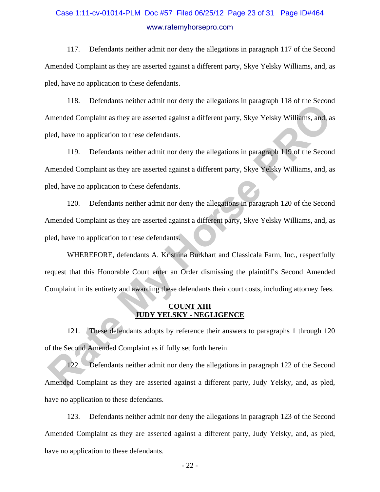# Case 1:11-cv-01014-PLM Doc #57 Filed 06/25/12 Page 23 of 31 Page ID#464 www.ratemyhorsepro.com

117. Defendants neither admit nor deny the allegations in paragraph 117 of the Second Amended Complaint as they are asserted against a different party, Skye Yelsky Williams, and, as pled, have no application to these defendants.

118. Defendants neither admit nor deny the allegations in paragraph 118 of the Second Amended Complaint as they are asserted against a different party, Skye Yelsky Williams, and, as pled, have no application to these defendants.

119. Defendants neither admit nor deny the allegations in paragraph 119 of the Second Amended Complaint as they are asserted against a different party, Skye Yelsky Williams, and, as pled, have no application to these defendants.

120. Defendants neither admit nor deny the allegations in paragraph 120 of the Second Amended Complaint as they are asserted against a different party, Skye Yelsky Williams, and, as pled, have no application to these defendants. These Detenants neither leading to early are imaginate in panguapa Tro or as becomes<br>
Rated, have no application to these defendants.<br>
119. Defendants neither admit nor deny the allegations in paragraph 119 of the Second<br>

WHEREFORE, defendants A. Kristiina Burkhart and Classicala Farm, Inc., respectfully request that this Honorable Court enter an Order dismissing the plaintiff's Second Amended Complaint in its entirety and awarding these defendants their court costs, including attorney fees.

### **COUNT XIII JUDY YELSKY - NEGLIGENCE**

121. These defendants adopts by reference their answers to paragraphs 1 through 120 of the Second Amended Complaint as if fully set forth herein.

122. Defendants neither admit nor deny the allegations in paragraph 122 of the Second Amended Complaint as they are asserted against a different party, Judy Yelsky, and, as pled, have no application to these defendants.

123. Defendants neither admit nor deny the allegations in paragraph 123 of the Second Amended Complaint as they are asserted against a different party, Judy Yelsky, and, as pled, have no application to these defendants.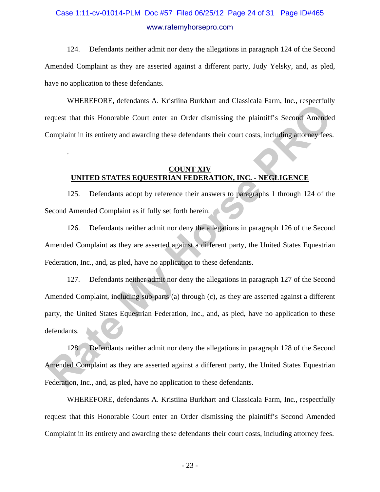# Case 1:11-cv-01014-PLM Doc #57 Filed 06/25/12 Page 24 of 31 Page ID#465 www.ratemyhorsepro.com

124. Defendants neither admit nor deny the allegations in paragraph 124 of the Second Amended Complaint as they are asserted against a different party, Judy Yelsky, and, as pled, have no application to these defendants.

WHEREFORE, defendants A. Kristiina Burkhart and Classicala Farm, Inc., respectfully request that this Honorable Court enter an Order dismissing the plaintiff's Second Amended Complaint in its entirety and awarding these defendants their court costs, including attorney fees.

### **COUNT XIV UNITED STATES EQUESTRIAN FEDERATION, INC. - NEGLIGENCE**

.

125. Defendants adopt by reference their answers to paragraphs 1 through 124 of the Second Amended Complaint as if fully set forth herein.

126. Defendants neither admit nor deny the allegations in paragraph 126 of the Second Amended Complaint as they are asserted against a different party, the United States Equestrian Federation, Inc., and, as pled, have no application to these defendants.

127. Defendants neither admit nor deny the allegations in paragraph 127 of the Second Amended Complaint, including sub-parts (a) through (c), as they are asserted against a different party, the United States Equestrian Federation, Inc., and, as pled, have no application to these defendants. **Rate Constrainers** 71: National Danian Constraint Paint Tement Representation of the properties alternative metastane in the properties (COINT MY). Completed Completion in its entirety and avarding these defendants their

128. Defendants neither admit nor deny the allegations in paragraph 128 of the Second Amended Complaint as they are asserted against a different party, the United States Equestrian Federation, Inc., and, as pled, have no application to these defendants.

WHEREFORE, defendants A. Kristiina Burkhart and Classicala Farm, Inc., respectfully request that this Honorable Court enter an Order dismissing the plaintiff's Second Amended Complaint in its entirety and awarding these defendants their court costs, including attorney fees.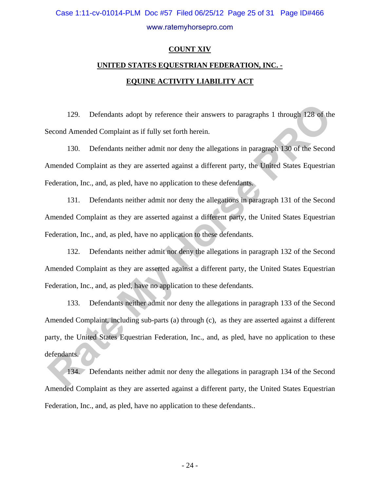# Case 1:11-cv-01014-PLM Doc #57 Filed 06/25/12 Page 25 of 31 Page ID#466 www.ratemyhorsepro.com

### **COUNT XIV**

# **UNITED STATES EQUESTRIAN FEDERATION, INC. - EQUINE ACTIVITY LIABILITY ACT**

129. Defendants adopt by reference their answers to paragraphs 1 through 128 of the Second Amended Complaint as if fully set forth herein.

130. Defendants neither admit nor deny the allegations in paragraph 130 of the Second Amended Complaint as they are asserted against a different party, the United States Equestrian Federation, Inc., and, as pled, have no application to these defendants.

131. Defendants neither admit nor deny the allegations in paragraph 131 of the Second Amended Complaint as they are asserted against a different party, the United States Equestrian Federation, Inc., and, as pled, have no application to these defendants.

132. Defendants neither admit nor deny the allegations in paragraph 132 of the Second Amended Complaint as they are asserted against a different party, the United States Equestrian Federation, Inc., and, as pled, have no application to these defendants.

133. Defendants neither admit nor deny the allegations in paragraph 133 of the Second Amended Complaint, including sub-parts (a) through (c), as they are asserted against a different party, the United States Equestrian Federation, Inc., and, as pled, have no application to these defendants. 129. Defendants adopt by reference their answers to paragraphs 1 through 128 of the<br>Second Amended Complaint as if fully set forth herein.<br>
130. Defendants neither admit nor deny the allegations in paragraph 130 of the Sec

134. Defendants neither admit nor deny the allegations in paragraph 134 of the Second Amended Complaint as they are asserted against a different party, the United States Equestrian Federation, Inc., and, as pled, have no application to these defendants..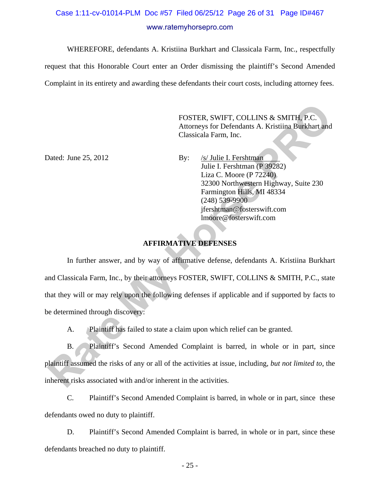# Case 1:11-cv-01014-PLM Doc #57 Filed 06/25/12 Page 26 of 31 Page ID#467 www.ratemyhorsepro.com

WHEREFORE, defendants A. Kristiina Burkhart and Classicala Farm, Inc., respectfully

request that this Honorable Court enter an Order dismissing the plaintiff's Second Amended Complaint in its entirety and awarding these defendants their court costs, including attorney fees.

> FOSTER, SWIFT, COLLINS & SMITH, P.C. Attorneys for Defendants A. Kristiina Burkhart and Classicala Farm, Inc.

Dated: June 25, 2012 By: /s/ Julie I. Fershtman Julie I. Fershtman (P 39282) Liza C. Moore (P 72240) 32300 Northwestern Highway, Suite 230 Farmington Hills, MI 48334 (248) 539-9900 jfershtman@fosterswift.com lmoore@fosterswift.com

### **AFFIRMATIVE DEFENSES**

 In further answer, and by way of affirmative defense, defendants A. Kristiina Burkhart and Classicala Farm, Inc., by their attorneys FOSTER, SWIFT, COLLINS & SMITH, P.C., state that they will or may rely upon the following defenses if applicable and if supported by facts to be determined through discovery: FOSTER, SWIFT, COLLINS & SMITH, P.C.<br>
Attorneys for Defendants A. Kristiina Burkhart and<br>
Classicala Farm, Inc.<br>
28. 2012<br>
By: <u>Ev Julie I. Fershtman</u><br>
29282<br>
Liza C. More (P 22240)<br>
12:20 Northwestern Highway, Suite 230<br>

A. Plaintiff has failed to state a claim upon which relief can be granted.

B. Plaintiff's Second Amended Complaint is barred, in whole or in part, since plaintiff assumed the risks of any or all of the activities at issue, including, *but not limited to*, the inherent risks associated with and/or inherent in the activities.

C. Plaintiff's Second Amended Complaint is barred, in whole or in part, since these defendants owed no duty to plaintiff.

D. Plaintiff's Second Amended Complaint is barred, in whole or in part, since these defendants breached no duty to plaintiff.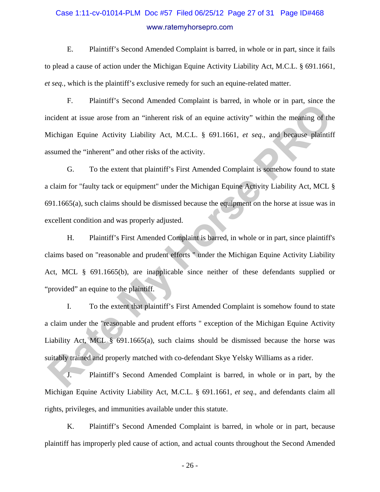# Case 1:11-cv-01014-PLM Doc #57 Filed 06/25/12 Page 27 of 31 Page ID#468 www.ratemyhorsepro.com

E. Plaintiff's Second Amended Complaint is barred, in whole or in part, since it fails to plead a cause of action under the Michigan Equine Activity Liability Act, M.C.L. § 691.1661, *et seq.*, which is the plaintiff's exclusive remedy for such an equine-related matter.

F. Plaintiff's Second Amended Complaint is barred, in whole or in part, since the incident at issue arose from an "inherent risk of an equine activity" within the meaning of the Michigan Equine Activity Liability Act, M.C.L. § 691.1661, *et seq.*, and because plaintiff assumed the "inherent" and other risks of the activity.

G. To the extent that plaintiff's First Amended Complaint is somehow found to state a claim for "faulty tack or equipment" under the Michigan Equine Activity Liability Act, MCL § 691.1665(a), such claims should be dismissed because the equipment on the horse at issue was in excellent condition and was properly adjusted. **Rate Assumes and The Constrainer Constrainer Source, in state Constrainer and Source Constrainer and Source Professor Product at issue arose from an "inherent risk of an equine activity" within the meaning of the Michigan** 

H. Plaintiff's First Amended Complaint is barred, in whole or in part, since plaintiff's claims based on "reasonable and prudent efforts " under the Michigan Equine Activity Liability Act, MCL § 691.1665(b), are inapplicable since neither of these defendants supplied or "provided" an equine to the plaintiff.

I. To the extent that plaintiff's First Amended Complaint is somehow found to state a claim under the "reasonable and prudent efforts " exception of the Michigan Equine Activity Liability Act, MCL § 691.1665(a), such claims should be dismissed because the horse was suitably trained and properly matched with co-defendant Skye Yelsky Williams as a rider.

J. Plaintiff's Second Amended Complaint is barred, in whole or in part, by the Michigan Equine Activity Liability Act, M.C.L. § 691.1661, *et seq*., and defendants claim all rights, privileges, and immunities available under this statute.

K. Plaintiff's Second Amended Complaint is barred, in whole or in part, because plaintiff has improperly pled cause of action, and actual counts throughout the Second Amended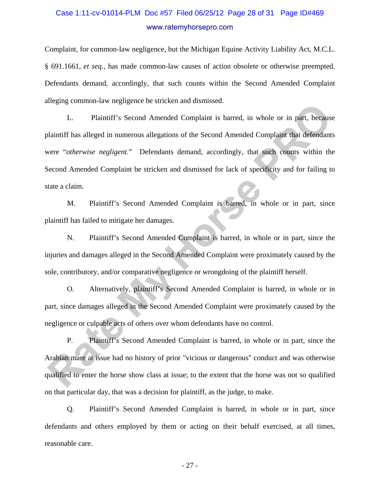# Case 1:11-cv-01014-PLM Doc #57 Filed 06/25/12 Page 28 of 31 Page ID#469 www.ratemyhorsepro.com

Complaint, for common-law negligence, but the Michigan Equine Activity Liability Act, M.C.L. § 691.1661, *et seq.,* has made common-law causes of action obsolete or otherwise preempted. Defendants demand, accordingly, that such counts within the Second Amended Complaint alleging common-law negligence be stricken and dismissed.

L. Plaintiff's Second Amended Complaint is barred, in whole or in part, because plaintiff has alleged in numerous allegations of the Second Amended Complaint that defendants were "*otherwise negligent*." Defendants demand, accordingly, that such counts within the Second Amended Complaint be stricken and dismissed for lack of specificity and for failing to state a claim. **Rate Constrained Example 1.5 Second Amended Complaint is barred, in whole or in part, because<br>
1. Plaintiff's Second Amended Complaint is barred, in whole or in part, because<br>
Hataliff has alleged in numerous allegations** 

M. Plaintiff's Second Amended Complaint is barred, in whole or in part, since plaintiff has failed to mitigate her damages.

N. Plaintiff's Second Amended Complaint is barred, in whole or in part, since the injuries and damages alleged in the Second Amended Complaint were proximately caused by the sole, contributory, and/or comparative negligence or wrongdoing of the plaintiff herself.

O. Alternatively, plaintiff's Second Amended Complaint is barred, in whole or in part, since damages alleged in the Second Amended Complaint were proximately caused by the negligence or culpable acts of others over whom defendants have no control.

P. Plaintiff's Second Amended Complaint is barred, in whole or in part, since the Arabian mare at issue had no history of prior "vicious or dangerous" conduct and was otherwise qualified to enter the horse show class at issue; to the extent that the horse was not so qualified on that particular day, that was a decision for plaintiff, as the judge, to make.

Q. Plaintiff's Second Amended Complaint is barred, in whole or in part, since defendants and others employed by them or acting on their behalf exercised, at all times, reasonable care.

- 27 -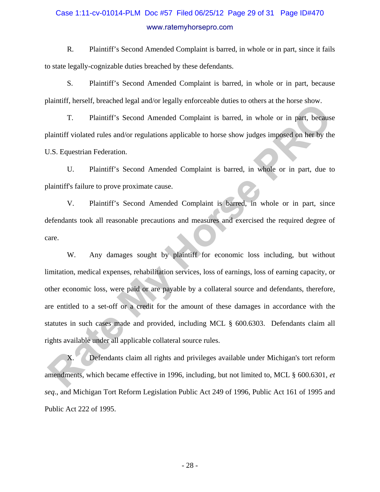# Case 1:11-cv-01014-PLM Doc #57 Filed 06/25/12 Page 29 of 31 Page ID#470 www.ratemyhorsepro.com

R. Plaintiff's Second Amended Complaint is barred, in whole or in part, since it fails to state legally-cognizable duties breached by these defendants.

S. Plaintiff's Second Amended Complaint is barred, in whole or in part, because plaintiff, herself, breached legal and/or legally enforceable duties to others at the horse show.

T. Plaintiff's Second Amended Complaint is barred, in whole or in part, because plaintiff violated rules and/or regulations applicable to horse show judges imposed on her by the U.S. Equestrian Federation.

U. Plaintiff's Second Amended Complaint is barred, in whole or in part, due to plaintiff's failure to prove proximate cause.

V. Plaintiff's Second Amended Complaint is barred, in whole or in part, since defendants took all reasonable precautions and measures and exercised the required degree of care.

W. Any damages sought by plaintiff for economic loss including, but without limitation, medical expenses, rehabilitation services, loss of earnings, loss of earning capacity, or other economic loss, were paid or are payable by a collateral source and defendants, therefore, are entitled to a set-off or a credit for the amount of these damages in accordance with the statutes in such cases made and provided, including MCL § 600.6303. Defendants claim all rights available under all applicable collateral source rules. T. Plaintiff's Second Amended Complaint is barred, in whole or in part, because<br>T. Plaintiff's Second Amended Complaint is barred, in whole or in part, because<br>alainiiff violated rules and/or regulations applicable to hors

X. Defendants claim all rights and privileges available under Michigan's tort reform amendments, which became effective in 1996, including, but not limited to, MCL § 600.6301, *et seq*., and Michigan Tort Reform Legislation Public Act 249 of 1996, Public Act 161 of 1995 and Public Act 222 of 1995.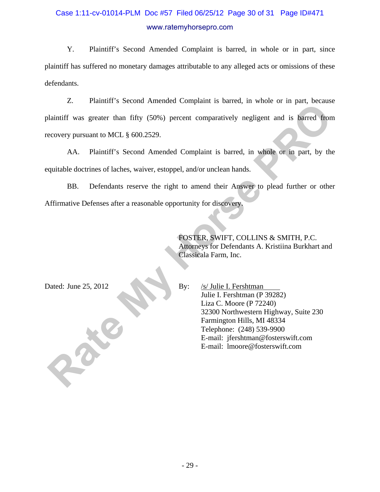# Case 1:11-cv-01014-PLM Doc #57 Filed 06/25/12 Page 30 of 31 Page ID#471 www.ratemyhorsepro.com

Y. Plaintiff's Second Amended Complaint is barred, in whole or in part, since plaintiff has suffered no monetary damages attributable to any alleged acts or omissions of these defendants.

Z. Plaintiff's Second Amended Complaint is barred, in whole or in part, because plaintiff was greater than fifty (50%) percent comparatively negligent and is barred from recovery pursuant to MCL § 600.2529. **Rate Assessment Constrained Complaint B** cancel in the Section Party occurs<br>
alaintiff was greater than fifty (50%) percent comparatively negligent and is barred from<br>
ecovery pursuant to MCL § 600.2529.<br>
AA. Plaintiff's

AA. Plaintiff's Second Amended Complaint is barred, in whole or in part, by the equitable doctrines of laches, waiver, estoppel, and/or unclean hands.

BB. Defendants reserve the right to amend their Answer to plead further or other Affirmative Defenses after a reasonable opportunity for discovery.

> FOSTER, SWIFT, COLLINS & SMITH, P.C. Attorneys for Defendants A. Kristiina Burkhart and Classicala Farm, Inc.

Dated: June 25, 2012 By: /s/ Julie I. Fershtman Julie I. Fershtman (P 39282) Liza C. Moore (P 72240) 32300 Northwestern Highway, Suite 230 Farmington Hills, MI 48334 Telephone: (248) 539-9900 E-mail: jfershtman@fosterswift.com E-mail: lmoore@fosterswift.com